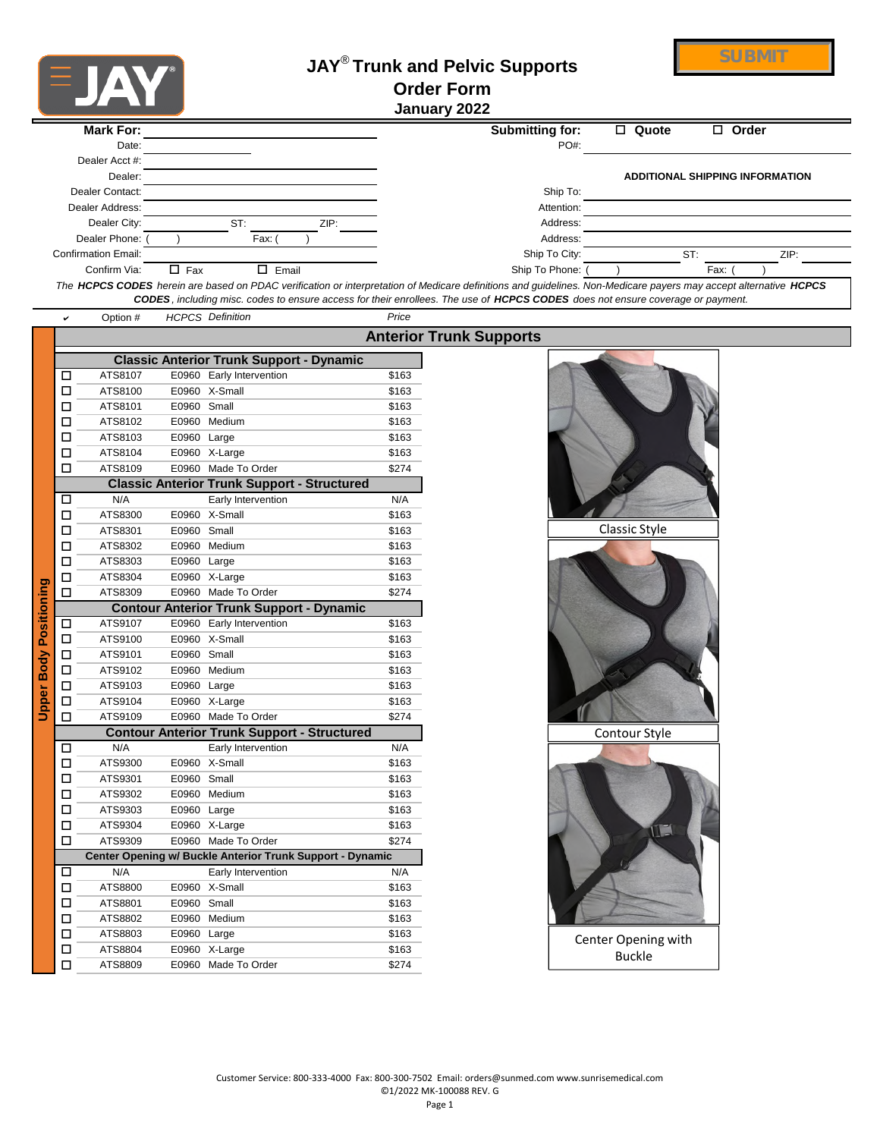

## **JAY**® **Trunk and Pelvic Supports Order Form January 2022**

| <b>Mark For:</b>           |                           | Submitting for: | Quote<br>$\Box$ | $\Box$ Order                           |
|----------------------------|---------------------------|-----------------|-----------------|----------------------------------------|
| Date:                      |                           | PO#:            |                 |                                        |
| Dealer Acct #:             |                           |                 |                 |                                        |
| Dealer:                    |                           |                 |                 | <b>ADDITIONAL SHIPPING INFORMATION</b> |
| Dealer Contact:            |                           | Ship To:        |                 |                                        |
| Dealer Address:            |                           | Attention:      |                 |                                        |
| Dealer City:               | ST:<br>ZIP:               | Address:        |                 |                                        |
| Dealer Phone:              | Fax:                      | Address:        |                 |                                        |
| <b>Confirmation Email:</b> |                           | Ship To City:   |                 | ST:<br>ZIP:                            |
| Confirm Via:               | $\Box$ Fax<br>Email<br>П. | Ship To Phone:  |                 | Fax:                                   |
|                            |                           |                 |                 |                                        |

*The HCPCS CODES herein are based on PDAC verification or interpretation of Medicare definitions and guidelines. Non-Medicare payers may accept alternative HCPCS CODES, including misc. codes to ensure access for their enrollees. The use of HCPCS CODES does not ensure coverage or payment.*

|                               | v                                                         | Option #                                           |             | <b>HCPCS Definition</b>  | Price |                                |
|-------------------------------|-----------------------------------------------------------|----------------------------------------------------|-------------|--------------------------|-------|--------------------------------|
|                               |                                                           |                                                    |             |                          |       | <b>Anterior Trunk Supports</b> |
|                               |                                                           | <b>Classic Anterior Trunk Support - Dynamic</b>    |             |                          |       |                                |
|                               | □                                                         | ATS8107                                            |             | E0960 Early Intervention | \$163 |                                |
|                               | □                                                         | ATS8100                                            |             | E0960 X-Small            | \$163 |                                |
|                               | □                                                         | ATS8101                                            | E0960       | Small                    | \$163 |                                |
|                               | □                                                         | ATS8102                                            |             | E0960 Medium             | \$163 |                                |
|                               | □                                                         | ATS8103                                            | E0960 Large |                          | \$163 |                                |
|                               | □                                                         | ATS8104                                            |             | E0960 X-Large            | \$163 |                                |
|                               | п                                                         | ATS8109                                            |             | E0960 Made To Order      | \$274 |                                |
|                               |                                                           | <b>Classic Anterior Trunk Support - Structured</b> |             |                          |       |                                |
|                               | □                                                         | N/A                                                |             | Early Intervention       | N/A   |                                |
|                               | □                                                         | ATS8300                                            |             | E0960 X-Small            | \$163 |                                |
|                               | п                                                         | ATS8301                                            | E0960       | Small                    | \$163 |                                |
|                               | □                                                         | ATS8302                                            |             | E0960 Medium             | \$163 |                                |
|                               | □                                                         | ATS8303                                            | E0960 Large |                          | \$163 |                                |
|                               | □                                                         | ATS8304                                            |             | E0960 X-Large            | \$163 |                                |
|                               | п                                                         | ATS8309                                            |             | E0960 Made To Order      | \$274 |                                |
| <b>Upper Body Positioning</b> |                                                           | <b>Contour Anterior Trunk Support - Dynamic</b>    |             |                          |       |                                |
|                               | □                                                         | ATS9107                                            |             | E0960 Early Intervention | \$163 |                                |
|                               | □                                                         | ATS9100                                            |             | E0960 X-Small            | \$163 |                                |
|                               | □                                                         | ATS9101                                            | E0960 Small |                          | \$163 |                                |
|                               | □                                                         | ATS9102                                            |             | E0960 Medium             | \$163 |                                |
|                               | □                                                         | ATS9103                                            | E0960 Large |                          | \$163 |                                |
|                               | □                                                         | ATS9104                                            |             | E0960 X-Large            | \$163 |                                |
|                               | п                                                         | ATS9109                                            |             | E0960 Made To Order      | \$274 |                                |
|                               | <b>Contour Anterior Trunk Support - Structured</b>        |                                                    |             |                          |       |                                |
|                               | ◻                                                         | N/A                                                |             | Early Intervention       | N/A   |                                |
|                               | □                                                         | ATS9300                                            |             | E0960 X-Small            | \$163 |                                |
|                               | □                                                         | ATS9301                                            | E0960       | Small                    | \$163 |                                |
|                               | □                                                         | ATS9302                                            |             | E0960 Medium             | \$163 |                                |
|                               | □                                                         | ATS9303                                            | E0960 Large |                          | \$163 |                                |
|                               | □                                                         | ATS9304                                            |             | E0960 X-Large            | \$163 |                                |
|                               | П                                                         | ATS9309                                            |             | E0960 Made To Order      | \$274 |                                |
|                               | Center Opening w/ Buckle Anterior Trunk Support - Dynamic |                                                    |             |                          |       |                                |
|                               | □                                                         | N/A                                                |             | Early Intervention       | N/A   |                                |
|                               | □                                                         | ATS8800                                            | E0960       | X-Small                  | \$163 |                                |
|                               | □                                                         | ATS8801                                            | E0960 Small |                          | \$163 |                                |
|                               | □                                                         | ATS8802                                            |             | E0960 Medium             | \$163 |                                |
|                               | □                                                         | ATS8803                                            | E0960 Large |                          | \$163 |                                |
|                               | □                                                         | ATS8804                                            |             | E0960 X-Large            | \$163 |                                |
|                               | п                                                         | ATS8809                                            |             | E0960 Made To Order      | \$274 |                                |

## Classic Style Contour Style W Center Opening with Buckle

**SUBMIT**

Page 1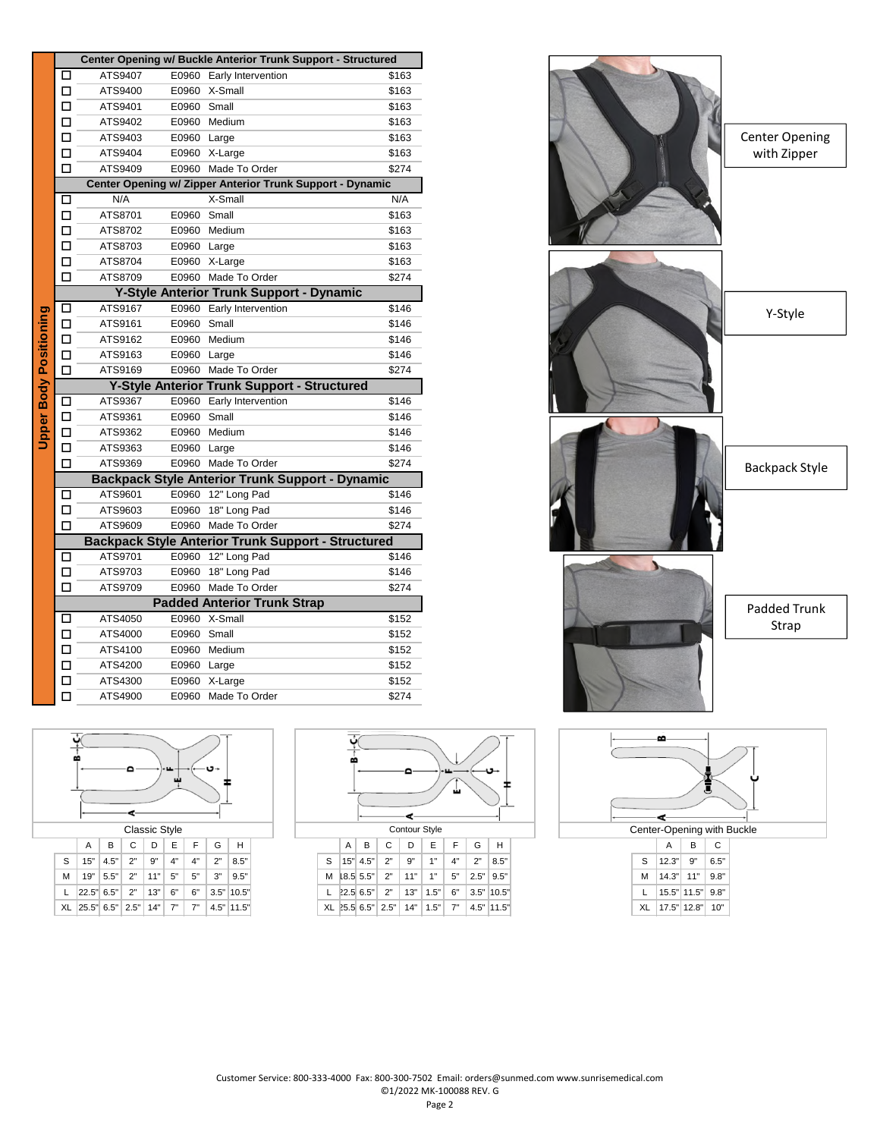|                        | Center Opening w/ Buckle Anterior Trunk Support - Structured |                    |             |                                                           |                |  |  |  |
|------------------------|--------------------------------------------------------------|--------------------|-------------|-----------------------------------------------------------|----------------|--|--|--|
|                        | П                                                            | ATS9407            |             | E0960 Early Intervention                                  | \$163          |  |  |  |
|                        | □                                                            | ATS9400            |             | E0960 X-Small                                             | \$163          |  |  |  |
|                        | □                                                            | ATS9401            | E0960 Small |                                                           | \$163          |  |  |  |
|                        | □                                                            | ATS9402            |             | E0960 Medium                                              | \$163          |  |  |  |
|                        | □                                                            | ATS9403            | E0960 Large |                                                           | \$163          |  |  |  |
|                        | □                                                            | ATS9404            |             | E0960 X-Large                                             | \$163          |  |  |  |
|                        | п                                                            | ATS9409            |             | E0960 Made To Order                                       | \$274          |  |  |  |
|                        | Center Opening w/ Zipper Anterior Trunk Support - Dynamic    |                    |             |                                                           |                |  |  |  |
|                        | □                                                            | N/A                |             | $\overline{X}$ -Small                                     | N/A            |  |  |  |
|                        | □                                                            | ATS8701            | E0960       | Small                                                     | \$163          |  |  |  |
|                        | □                                                            | ATS8702            |             | E0960 Medium                                              | \$163          |  |  |  |
|                        | □                                                            | ATS8703            | E0960 Large |                                                           | \$163          |  |  |  |
|                        | п                                                            | ATS8704            |             | E0960 X-Large                                             | \$163          |  |  |  |
|                        | п                                                            | ATS8709            |             | E0960 Made To Order                                       | \$274          |  |  |  |
|                        |                                                              |                    |             | Y-Style Anterior Trunk Support - Dynamic                  |                |  |  |  |
|                        | $\Box$                                                       | ATS9167            | E0960       | Early Intervention                                        | \$146          |  |  |  |
|                        | □                                                            | ATS9161            | E0960       | Small                                                     | \$146          |  |  |  |
|                        | □                                                            | ATS9162            |             | E0960 Medium                                              | \$146          |  |  |  |
|                        | □                                                            | ATS9163            | E0960 Large |                                                           | \$146          |  |  |  |
|                        | □                                                            | ATS9169            |             | E0960 Made To Order                                       | \$274          |  |  |  |
|                        |                                                              |                    |             |                                                           |                |  |  |  |
|                        |                                                              |                    |             | Y-Style Anterior Trunk Support - Structured               |                |  |  |  |
|                        | □                                                            | ATS9367            |             | E0960 Early Intervention                                  | \$146          |  |  |  |
|                        | □                                                            | ATS9361            | E0960 Small |                                                           | \$146          |  |  |  |
|                        | □                                                            | ATS9362            |             | E0960 Medium                                              | \$146          |  |  |  |
|                        | □                                                            | ATS9363            | E0960       | Large                                                     | \$146          |  |  |  |
|                        | □                                                            | ATS9369            |             | E0960 Made To Order                                       | \$274          |  |  |  |
|                        |                                                              |                    |             | <b>Backpack Style Anterior Trunk Support - Dynamic</b>    |                |  |  |  |
|                        | о                                                            | ATS9601            | E0960       | 12" Long Pad                                              | \$146          |  |  |  |
|                        | □                                                            | ATS9603            | E0960       | 18" Long Pad                                              | \$146          |  |  |  |
|                        | □                                                            | ATS9609            | E0960       | Made To Order                                             | \$274          |  |  |  |
|                        |                                                              |                    |             | <b>Backpack Style Anterior Trunk Support - Structured</b> |                |  |  |  |
|                        | □                                                            | ATS9701            | E0960       | 12" Long Pad                                              | \$146          |  |  |  |
| Upper Body Positioning | □                                                            | ATS9703            | E0960       | 18" Long Pad                                              | \$146          |  |  |  |
|                        | п                                                            | ATS9709            | E0960       | Made To Order                                             | \$274          |  |  |  |
|                        | □                                                            | ATS4050            |             | <b>Padded Anterior Trunk Strap</b><br>E0960 X-Small       | \$152          |  |  |  |
|                        |                                                              |                    |             |                                                           |                |  |  |  |
|                        | □                                                            | ATS4000<br>ATS4100 | E0960 Small | E0960 Medium                                              | \$152          |  |  |  |
|                        | □                                                            | ATS4200            |             |                                                           | \$152          |  |  |  |
|                        | □<br>□                                                       | ATS4300            | E0960 Large | E0960 X-Large                                             | \$152<br>\$152 |  |  |  |